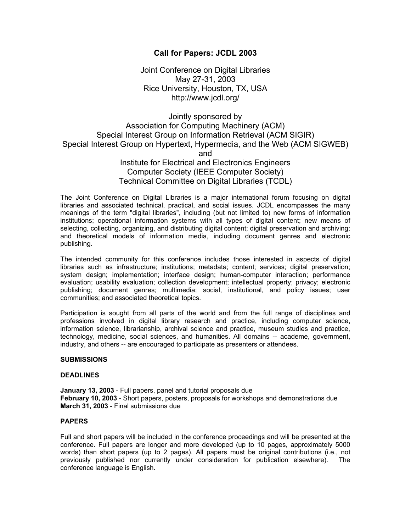## **Call for Papers: JCDL 2003**

Joint Conference on Digital Libraries May 27-31, 2003 Rice University, Houston, TX, USA http://www.jcdl.org/

# Jointly sponsored by Association for Computing Machinery (ACM) Special Interest Group on Information Retrieval (ACM SIGIR) Special Interest Group on Hypertext, Hypermedia, and the Web (ACM SIGWEB) and Institute for Electrical and Electronics Engineers Computer Society (IEEE Computer Society) Technical Committee on Digital Libraries (TCDL)

The Joint Conference on Digital Libraries is a major international forum focusing on digital libraries and associated technical, practical, and social issues. JCDL encompasses the many meanings of the term "digital libraries", including (but not limited to) new forms of information institutions; operational information systems with all types of digital content; new means of selecting, collecting, organizing, and distributing digital content; digital preservation and archiving; and theoretical models of information media, including document genres and electronic publishing.

The intended community for this conference includes those interested in aspects of digital libraries such as infrastructure; institutions; metadata; content; services; digital preservation; system design; implementation; interface design; human-computer interaction; performance evaluation; usability evaluation; collection development; intellectual property; privacy; electronic publishing; document genres; multimedia; social, institutional, and policy issues; user communities; and associated theoretical topics.

Participation is sought from all parts of the world and from the full range of disciplines and professions involved in digital library research and practice, including computer science, information science, librarianship, archival science and practice, museum studies and practice, technology, medicine, social sciences, and humanities. All domains -- academe, government, industry, and others -- are encouraged to participate as presenters or attendees.

#### **SUBMISSIONS**

#### **DEADLINES**

**January 13, 2003** - Full papers, panel and tutorial proposals due **February 10, 2003** - Short papers, posters, proposals for workshops and demonstrations due **March 31, 2003** - Final submissions due

## **PAPERS**

Full and short papers will be included in the conference proceedings and will be presented at the conference. Full papers are longer and more developed (up to 10 pages, approximately 5000 words) than short papers (up to 2 pages). All papers must be original contributions (i.e., not previously published nor currently under consideration for publication elsewhere). The conference language is English.